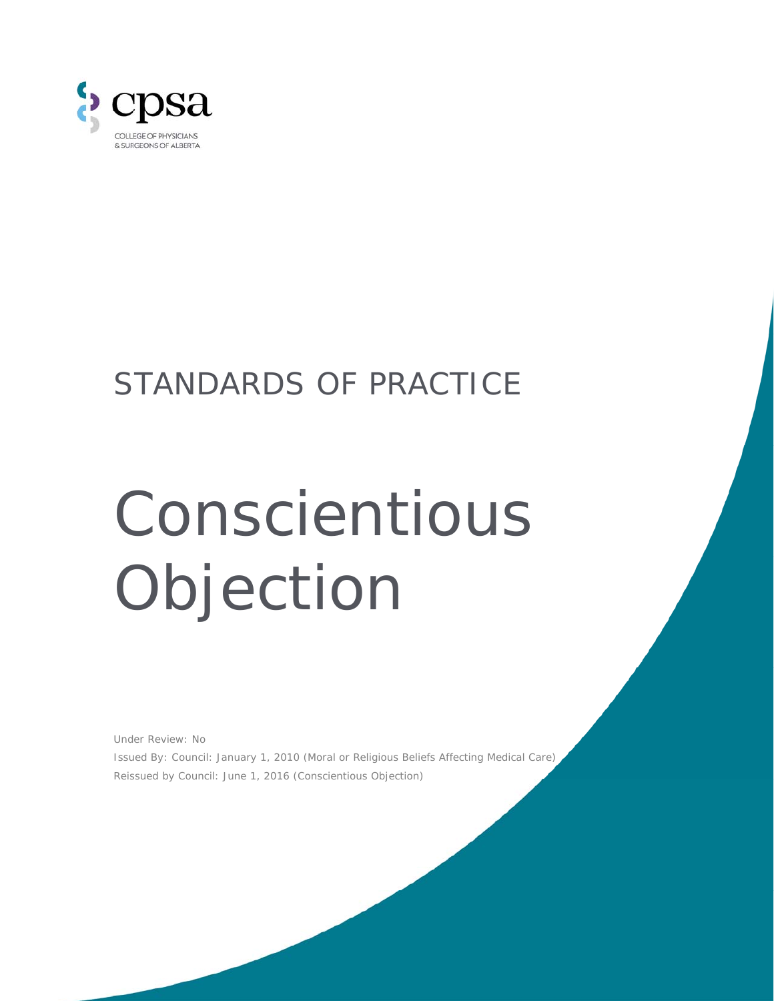

## STANDARDS OF PRACTICE

## Conscientious Objection

Under Review: No Issued By: Council: January 1, 2010 (*Moral or Religious Beliefs Affecting Medical Care*) Reissued by Council: June 1, 2016 (*Conscientious Objection*)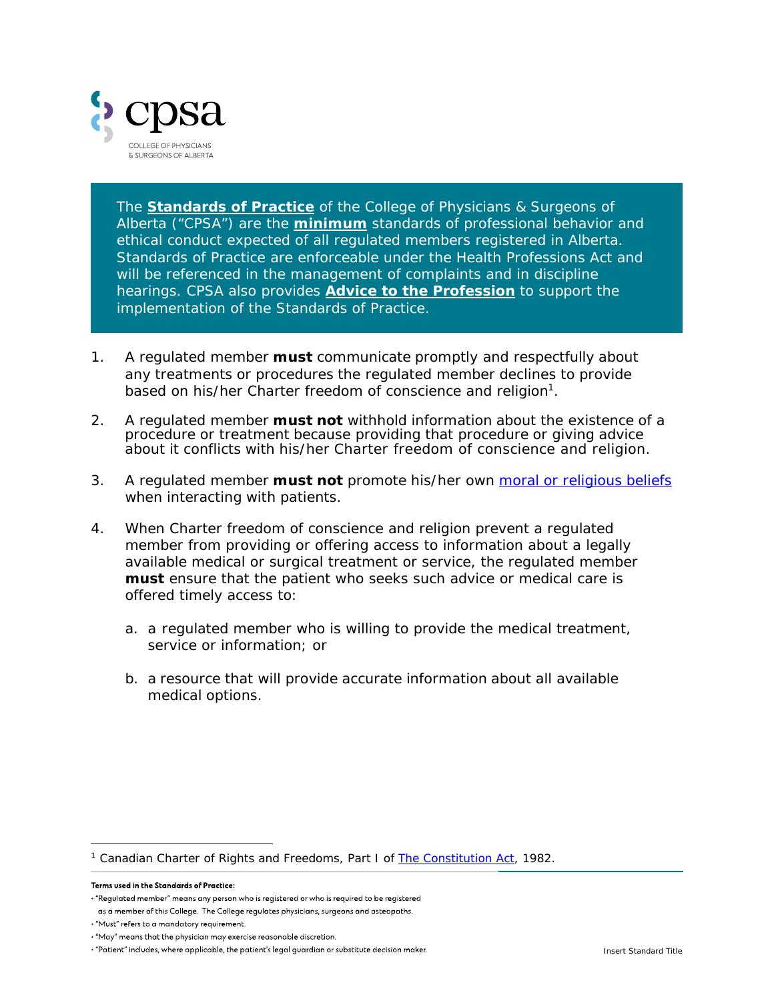

The *Standards of Practice* of the College of Physicians & Surgeons of Alberta ("CPSA") are the **minimum** standards of professional behavior and ethical conduct expected of all regulated members registered in Alberta. Standards of Practice are enforceable under the *Health Professions Act* and will be referenced in the management of complaints and in discipline hearings. CPSA also provides **Advice to the Profession** to support the implementation of the Standards of Practice.

- 1. A regulated member **must** communicate promptly and respectfully about any treatments or procedures the regulated member declines to provide based on his/her Charter freedom of conscience and religion<sup>1</sup>.
- 2. A regulated member **must not** withhold information about the existence of a procedure or treatment because providing that procedure or giving advice about it conflicts with his/her Charter freedom of conscience and religion.
- 3. A regulated member **must not** promote his/her own moral or religious beliefs when interacting with patients.
- 4. When Charter freedom of conscience and religion prevent a regulated member from providing or offering access to information about a legally available medical or surgical treatment or service, the regulated member **must** ensure that the patient who seeks such advice or medical care is offered timely access to:
	- a. a regulated member who is willing to provide the medical treatment, service or information; or
	- b. a resource that will provide accurate information about all available medical options.

j 1 Canadian Charter of Rights and Freedoms, Part I of *The Constitution Act*, 1982.

Terms used in the Standards of Practice:

<sup>· &</sup>quot;Regulated member" means any person who is registered or who is required to be registered

as a member of this College. The College regulates physicians, surgeons and osteopaths.

<sup>· &</sup>quot;Must" refers to a mandatory requirement.

<sup>· &</sup>quot;May" means that the physician may exercise reasonable discretion.

<sup>· &</sup>quot;Patient" includes, where applicable, the patient's legal guardian or substitute decision maker.